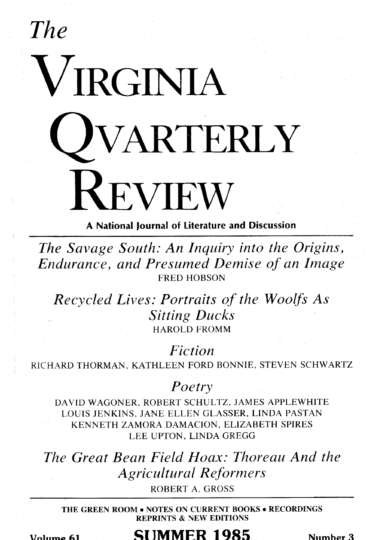# The **VIRGINIA** VARTERLY REVIEW

A National Journal of Literature and Discussion

The Savage South: An Inquiry into the Origins, Endurance, and Presumed Demise of an Image FRED HOBSON

Recycled Lives: Portraits of the Woolfs As Sitting Ducks HAROLD FROMM

Fiction RICHARD THORMAN. KATHLEEN FORD BONNIE, STEVEN SCHWARTZ

## Poetry

DAVID WAGONER, ROBERT SCHULTZ, JAMES APPLEWHITE LOUIS JENKINS. JANE ELLEN CLASSER, LINDA PASTAN KENNETH ZAMORA DAMACION, ELIZABETH SPIRES LEE UPTON, LINDA GREGG

The Great Bean Field Hoax: Thoreau And the Agricultural Reformers

ROBERT A. GROSS

THE GREEN ROOM . NOTES ON CURRENT BOOKS . RECORDINGS REPRINTS & NEW EDITIONS

 $\frac{1}{2}$  Volume 61  $\frac{1}{2}$  SI JMMER 1985 Number 3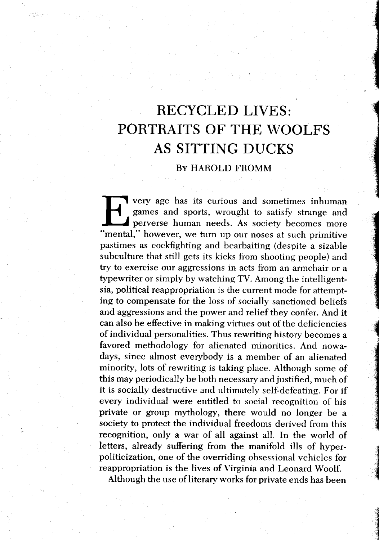# RECYCLED LIVES: PORTRAITS OF THE WOOLFS AS SITTING DUCKS

I a

{ . :

.l I .d ر<br>بر<br>بر

in the company

,3<br>,3g<br>,3g<br>,3g<br>,3g<br>,3g

€d d :i

#### Bv HAROLD FROMM

very age has its curious and sometimes inhuman games and sports, wrought to satisfy strange and<br>perverse human needs. As society becomes more "mental," however, we turn up our noses at such primitive pastimes as cockfighting and bearbaiting (despite a sizable subculture that still gets its kicks from shooting people) and try to exercise our aggressions in acts from an armchair or a typewriter or simply by watching TV.Among the intelligentsia, political reappropriation is the current mode for attempting to compensate for the loss of socially sanctioned beliefs and aggressions and the power and relief they confer. And it can also be effective in making virtues out of the deficiencies of individual personalities. Thus rewriting history becomes a favored methodology for alienated minorities. And nowadays, since almost everybody is a member of an alienated minority, lots of rewriting is taking place. Although some of this may periodically be both necessary and justified, much of it is socially destructive and ultimately self-defeating. For if every individual were entitled to social recognition of his private or group mythology, there would no longer be a society to protect the individual freedoms derived from this recognition, only a war of all against all. In the world of letters, already suffering from the manifold ills of hyperpoliticization, one of the overriding obsessional vehicles for reappropriation is the lives of Virginia and Leonard Woolf.

.Although the use of literary works for private ends has been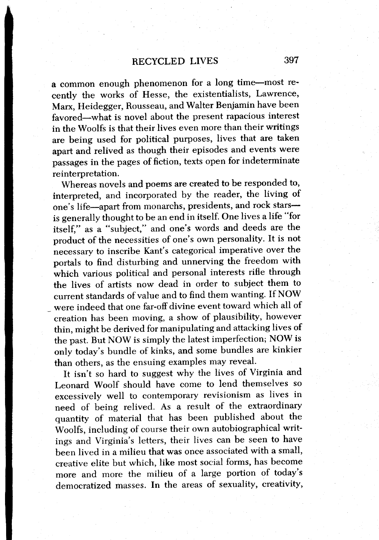a common enough phenomenon for a long time-most recently the works of Hesse, the existentialists, Lawrence, Marx, Heidegger, Rousseau, and Walter Benjamin have been favored-what is novel about the present rapacious interest in the Woolfs is that their lives even more than their writings are being used for political purposes, lives that are taken apart and relived as though their episodes and events were passages in the pages of fiction, texts open for indeterminate reinterpretation.

Whereas novels and poems are created to be responded to, interpreted, and incorporated by the reader, the living of one's life-apart from monarchs, presidents, and rock starsis generally thought to be an end in itself. One lives a life "for itself," as a "subject," and one's words and deeds are the product of the necessities of one's own personality. It is not necessary to inscribe Kant's categorical imperative over the portals to find disturbing and unnerving the freedom with which various political and personal interests rifle through the lives of artists now dead in order to subject them to current standards of value and to find them wanting. If NOW were indeed that one far-off divine event toward which all of creation has been moving, a show of plausibility, however thin, might be derived for manipulating and attacking lives of the past. But NOW is simply the latest imperfection; NOW is only today's bundle of kinks, and some bundles are kinkier than others, as the ensuing examples may reveal.

It isn't so hard to suggest why the lives of Virginia and Leonard Woolf should have come to lend themselves so excessively well to contemporary revisionism as lives in need of being relived. As a result of the extraordinary quantity of material that has been pubhshed about the Woolfs, including of course their own autobiographical writings and Virginia's letters, their lives can be seen to have been lived in a milieu that was once associated with a small, creative elite but which, like most social forms, has become more and more the milieu of a large portion of today's democratized masses. In the areas of sexuality, creativity,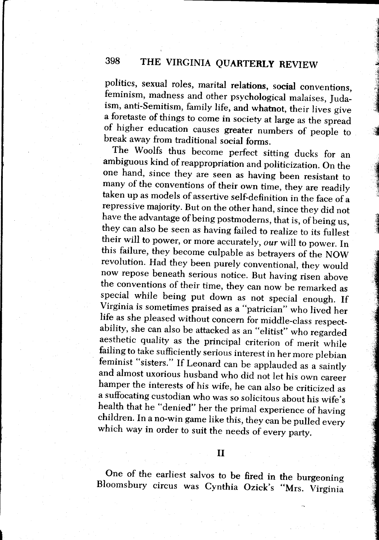. 5 "'' - 5 ;t 'ii **ः** 

**idae in in L**o

g<br>album

€ :q 't  $\frac{1}{\sqrt{2}}$ 

t"

politics, sexual roles, marital relations, social conventions, feminism, madness and other psychological malaises, Judaism, anti-Semitism, family life, and whatnot, their lives give a foretaste of things to come in society at large as the spread of higher education causes greater numbers of people to break away from traditional social forms.

The Woolfs thus become perfect sitting ducks for an ambiguous kind of reappropriation and politicization. On the one hand, since they are seen as having been resistant to many of the conventions of their own time, they are readily taken up as models of assertive self-definition in the face of a repressive majority. But on the other hand, since they did not have the advantage of being postmoderns, that is, of being us, they can also be seen as having failed to realize to its fullest their will to power, or more accurately, our will to power. In this failure, they become culpable as betrayers of the NOW revolution. Had they been purely conventional, they would now repose beneath serious notice. But having risen above the conventions of their time, they can now be remarked as special while being put down as not special enough. If<br>Virginia is sometimes praised as a "patrician" who lived her<br>life as she pleased without concern for middle-class respectability, she can also be attacked as an "elitist" who regarded aesthetic quality as the principal criterion of merit while failing to take sufficiently serious interest in her more plebian feminist "sisters." If Leonard can be applauded as a saintly and almost uxorious husband who did not let his own career hamper the interests of his wife, he can also be criticized as a suffocating custodian who was so solicitous about his wife's health that he "denied" her the primal experience of having children. In a no-win game like this, they can be pulled every which way in order to suit the needs of every party.

One of the earliest salvos to be fired in the burgeoning One of the earliest salvos to be fired in the burgeoning<br>Bloomsbury circus was Cynthia Ozick's "Mrs. Virginia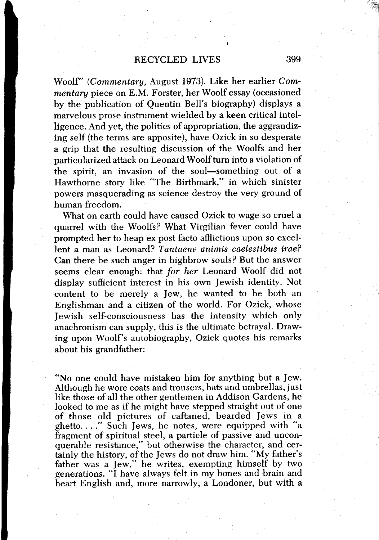Woolf" (Commentary, August 1973). Like her earlier Commentary piece on E.M. Forster, her Woolf essay (occasioned by the publication of Quentin Bell's biography) displays a marvelous prose instrument wielded by a keen critical intelligence. And yet, the politics of appropriation, the aggrandizing self (the terms are apposite), have Ozick in so desperate a grip that the resulting discussion of the Woolfs and her particularized attack on Leonard Woolf turn into a violation of the spirit, an invasion of the soul-something out of a Hawthorne story like "The Birthmark," in which sinister powers masquerading as science destroy the very ground of human freedom.

What on earth could have caused Ozick to wage so cruel a quarrel with the Woolfs? What Virgilian fever could have prompted her to heap ex post facto affiictions upon so excellent a man as Leonard? Tantaene animis caelestibus irae? Can there be such anger in highbrow souls? But the answer seems clear enough: that for her Leonard Woolf did not display sufficient interest in his own Jewish identity. Not content to be merely a Jew, he wanted to be both an Englishman and a citizen of the world. For Ozick, whose Jewish self-consciousness has the intensity which only anachronism can supply, this is the ultimate betrayal. Drawing upon Woolf's autobiography, Ozick quotes his remarks about his grandfather:

"No one could have mistaken him for anything but a ]ew. Although he wore coats and trousers, hats and umbrellas, just like those of all the other gentlemen in Addison Gardens, he looked to me as if he might have stepped straight out of one of those old pictures of caftaned, bearded Jews in a ghetto. .. ." Such Jews, he notes, were equipped with "a fragment of spiritual steel, a particle of passive and unconquerable resistance," but otherwise the character, and certainly the history, of the Jews do not draw him. "My father's father was a Jew," he writes, exempting himself by two generations. "I have always felt in my bones and brain and heart English and, more narrowly, a Londoner, but with a

'1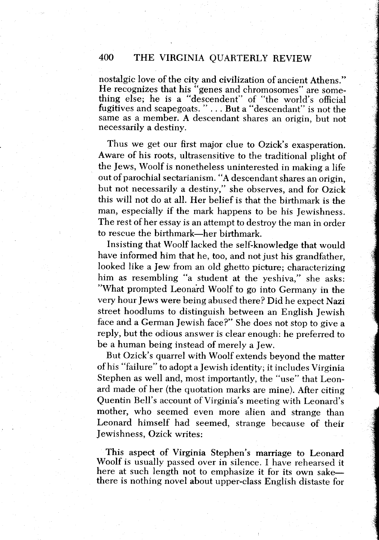nostalgic love of the city and civilization of ancient Athens." He recognizes that his "genes and chromosomes" are something else; he is a "descendent" of "the world's official dring effect, he is a descendent of the world's official same as a member. A descendant shares an origin, but not necessarily a destiny.

Thus we get our first major clue to Ozick's exasperation. Aware of his roots, ultrasensitive to the traditional plight of the Jews, Woolf is nonetheless uninterested in making a life out of parochial sectarianism. "A descendant shares an origin, but not necessarily a destiny," she observes, and for Ozick this will not do at all. Her belief is that the birthmark is the man, especially if the mark happens to be his Jewishness. The rest of her essay is an attempt to destroy the man in order to rescue the birthmark-her birthmark.

Insisting that Woolf lacked the self-knowledge that would have informed him that he, too, and not just his grandfather, looked like a Jew from an old ghetto picture; characterizing him as resembling "a student at the yeshiva," she asks: "What prompted Leonard Woolf to go into Germany in the very hour Jews were being abused there? Did he expect Nazi street hoodlums to distinguish between an English jewish face and a German Jewish face?" She does not stop to give a reply, but the odious answer is clear enough: he preferred to be a human being instead of merely a jew.

But Ozick's quarrel with Woolf extends beyond the matter of his "failure" to adopt a Jewish identity; it includes Virginia Stephen as well and, most importantly, the "use" that Leonard made of her (the quotation marks are mine). After citing Quentin Bell's account of Virginia's meeting with Leonard's mother, who seemed even more alien and strange than Leonard himself had seemed, strange because of their Jewishness, Ozick writes:

This aspect of Virginia Stephen's marriage to Leonard Woolf is usually passed over in silence. I have rehearsed it here at such length not to emphasize it for its own sakethere is nothing novel about upper-class English distaste for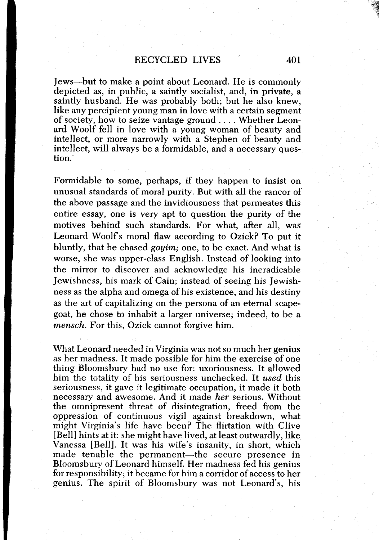Jews-but to make a point about Leonard. He is commonly depicted as, in public, a saintly socialist, and, in private, a saintly husband. He was probably both; but he also knew, like any percipient young man in love with a certain segment of society, how to seize vantage ground . . . . Whether Leonard Woolf fell in love with a young woman of beauty and intellect, or more narrowly with a Stephen of beauty and intellect, will always be a formidable, and a necessary question.'

Formidable to some, perhaps, if they happen to insist on unusual standards of moral purity. But with all the rancor of the above passage and the invidiousness that permeates this entire essay, one is very apt to question the purity of the motives behind such standards, For what, after all, was Leonard Woolfs moral flaw according to Ozick? To put it bluntly, that he chased gogim; one, to be exact. And what is worse, she was upper-class English. Instead of looking into the mirror to discover and acknowledge his ineradicable Jewishness, his mark of Cain; instead of seeing his Jewishness as the alpha and omega of his existence, and his destiny as the art of capitalizing on the persona of an eternal scapegoat, he chose to inhabit a larger universe; indeed, to be a mensch. For this, Ozick cannot forgive him.

What Leonard needed in Virginia was not so much her genius as her madness. It made possible for him the exercise of one thing Bloomsbury had no use for: uxoriousness. It allowed him the totality of his seriousness unchecked. It used this seriousness, it gave it legitimate occupation, it made it both necessary and awesome. And it made *her* serious. Without the omnipresent threat of disintegration, freed from the oppression of continuous vigil against breakdown, what might Virginia's life have been? The flirtation with Clive [Bell] hints at it: she might have lived, at least outwardly, like. Vanessa [Bell]. It was his wife's insanity, in short, which made tenable the permanent—the secure presence in Bloomsbury of Leonard himself. Her madness fed his genius for responsibility; it became for him a corridor of access to her genius. The spirit of Bloomsbury was not Leonard's, his

-.G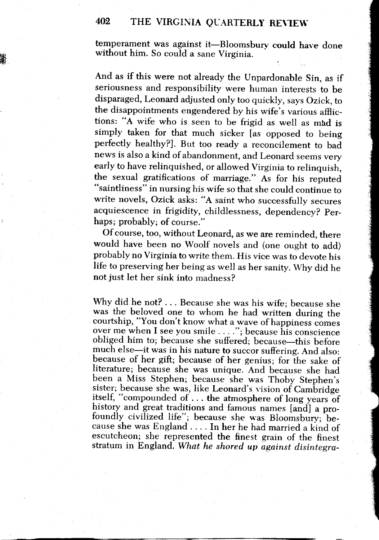ffi

temperament was against it-Bloomsbury could have done without him. So could a sane Virginia.

And as if this were not already the Unpardonable Sin, as if seriousness and responsibility were human interests to be disparaged, Leonard adjusted only too quickly, says Ozick, to the disappointments engendered by his wife's various affiictions: "A wife who is seen to be frigid as well as mhd is simply taken for that much sicker [as opposed to being perfectly healthy?]. But too ready a reconcilement to bad news is also a kind of abandonment, and Leonard seems very early to have relinquished, or allowed Virginia to relinquish, the sexual gratifications of marriage." As for his reputed " saintliness" in nursing his wife so that she could continue to write novels, Ozick asks: "A saint who successfully secures acquiescence in frigidity, childlessness, dependency? perhaps; probably; of course."

Of course, too, without Leonard, as we are reminded, there would have been no Woolf novels and (one ought to add) probably no Virginia to write them. His vice was to devote his life to preserving her being as well as her sanity. Why did he not just let her sink into madness?

Why did he not? . . . Because she was his wife; because she was the beloved one to whom he had written during the courtship, "You don't know what a wave of happiness comes over me when I see you smile . . . ."; because his conscience obliged him to; because she suffered; because-this before much else-it was in his nature to succor suffering. And also: because of her gift; because of her genius; for the sake of literature; because she was unique.And because she had been a Miss Stephen; because she was Thoby Stephen's sister; because she was, like Leonard's vision of Cambridge itself, "compounded of  $\ldots$  the atmosphere of long years of history and great traditions and famous names [and] a profoundly civilized life"; because she was Bloomsbury; because she was England . . . . In her he had married a kind of escutcheon; she represented the finest grain of the finest stratum in England. What he shored up against disintegra-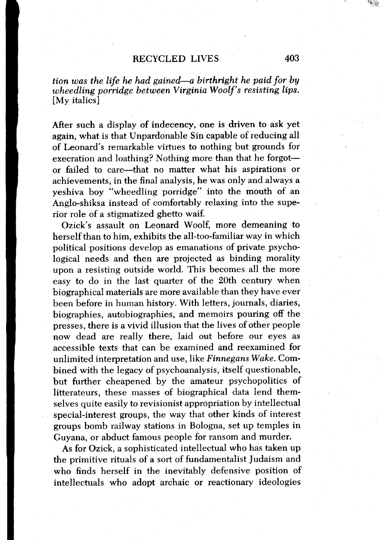tion was the life he had gained—a birthright he paid for by wheedling porridge between Virginia Woolf's resisting lips. [My italics]

After such a display of indecency, one is driven to ask yet again, what is that Unpardonable Sin capable of reducing all of Leonard's remarkable virtues to nothing but grounds for execration and loathing? Nothing more than that he forgotor failed to care-that no matter what his aspirations or achievements, in the final analysis, he was only and always a yeshiva boy "wheedling porridge" into the mouth of an Anglo-shiksa instead of comfortably relaxing into the superior role of a stigmatized ghetto waif.

Ozick's assault on Leonard Woolf, more demeaning to herself than to him, exhibits the all-too-familiar way in which political positions develop as emanations of private psychological needs and then are projected as binding morality upon a resisting outside world. This becomes all the more easy to do in the last quarter of the 20th century when biographical materials are more available than they have ever been before in human history. With letters, journals, diaries, biographies, autobiographies, and memoirs pouring off the presses, there is a vivid illusion that the lives of other people now dead are really there, laid out before our eyes as accessible texts that can be examined and reexamined for unlimited interpretation and use, like Finnegans Wake. Combined with the legacy of psychoanalysis, itself questionable, but further cheapened by the amateur psychopolitics of Iitterateurs, these masses of biographical data lend themselves quite easily to revisionist appropriation by intellectual special-interest groups, the way that other kinds of interest groups bomb railway stations in Bologna, set up temples in Guyana, or abduct famous people for ransom and murder.

As for Ozick, a sophisticated intellectual who has taken up the primitive rituals of a sort of fundamentalist Judaism and who finds herself in the inevitably defensive position of intellectuals who adopt archaic or reactionary ideologies  $\mathcal{B}_{\mathcal{B}}$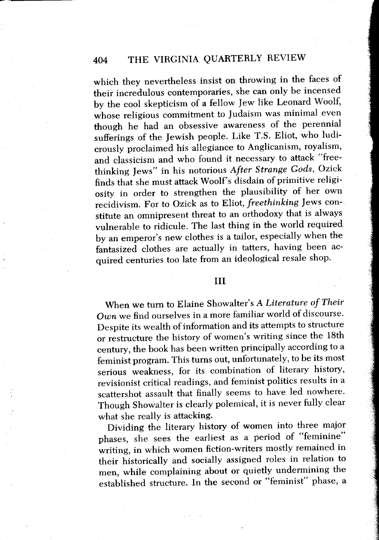which they nevertheless insist on throwing in the faces of their incredulous contemporaries, she can only be incensed by the cool skepticism of a fellow Jew like Leonard Woolf, whose religious commitment to Judaism was minimal even though he had an obsessive awareness of the perennial sufferings of the Jewish people. Like T.S. Eliot, who ludicrously proclaimed his allegiance to Anglicanism, royalism, and classicism and who found it necessary to attack "freethinking Jews" in his notorious After Strange Gods, Ozick finds that she must attack Woolf's disdain of primitive religiosity in order to strengthen the plausibility of her own recidivism. For to Ozick as to Eliot, freethinking Jews constitute an omnipresent threat to an orthodoxy that is always vulnerable to ridicule. The last thing in the world required by an emperor's new clothes is a tailor, especially when the fantasized clothes are actually in tatters, having been acquired centuries too late from an ideological resale shop.

#### III

When we turn to Elaine Showalter's A Literature of Their Own we find ourselves in a more familiar world of discourse. Despite its wealth of information and its attempts to structure or restructure the history of women's writing since the 18th century, the book has been written principally according to a feminist program. This turns out, unfortunately, to be its most serious weakness, for its combination of literary history, revisionist critical readings, and feminist politics results in a scattershot assault that finally seems to have led nowhere. Though Showalter is clearly polemical, it is never fully clear what she really is attacking.

Dividing the literary history of women into three major phases, she sees the earliest as a period of "feminine" writing, in which women fiction-writers mostly remained in their historically and socially assigned roles in relation to men, while complaining about or quietly undermining the established structure. In the second or "feminist" phase, a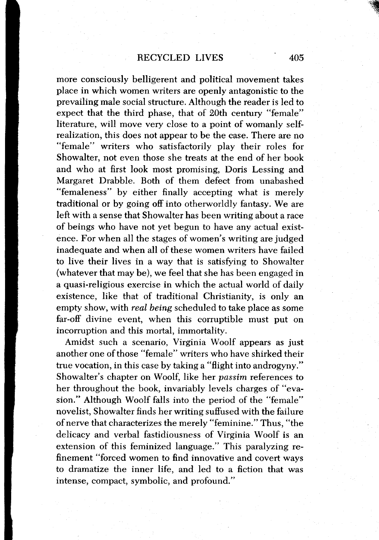more consciously belligerent and political movement takes place in which women writers are openly antagonistic to the prevailing male social structure. Although the reader is led to expect that the third phase, that of 20th century "female" literature, will move very close to a point of womanly selfrealization, this does not appear to be the case. There are no "female" writers who satisfactorily play their roles for Showalter, not even those she treats at the end of her book and who at first look most promising, Doris Lessing and Margaret Drabble. Both of them defect from unabashed "femaleness" by either finally accepting what is merely traditional or by going off into otherworldly fantasy. We are left with a sense that Showalter has been writing about a race of beings who have not yet begun to have any actual existence. For when all the stages of women's writing are judged inadequate and when all of these women writers have failed to live their lives in a way that is satisfying to Showalter (whatever that may be), we feel that she has been engaged in a quasi-religious exercise in which the actual world of daily existence, like that of traditional Christianity, is only an empty show, with real being scheduled to take place as some far-off divine event, when this corruptible must put on incorruption and this mortal, immortality.

Amidst such a scenario, Virginia Woolf appears as just another one of those "female" writers who have shirked their true vocation, in this case by taking a "fight into androgyny." Showalter's chapter on Woolf, like her passim references to her throughout the book, invariably levels charges of "evasion." Although Woolf falls into the period of the "female" novelist, Showalter finds her writing suffused with the failure of nerve that characterizes the merely "feminine." Thus, "the delicacy and verbal fastidiousness of Virginia Woolf is an extension of this feminized language." This paralyzing refinement "forced women to find innovative and covert ways to dramatize the inner life, and led to a fiction that was intense, compact, symbolic, and profound."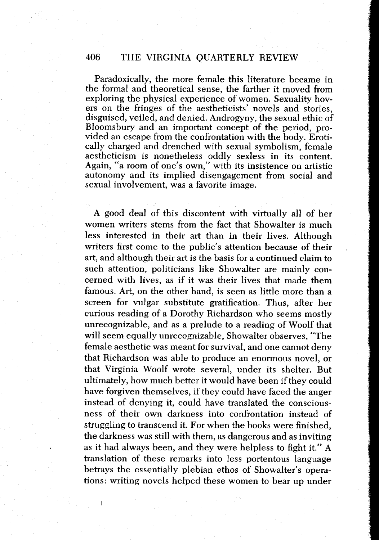Paradoxically, the more female this literature became in the formal and theoretical sense, the farther it moved from exploring the physical experience of women. Sexuality hovers on the fringes of the aestheticists' novels and stories, disguised, veiled, and denied. Androgyny, the sexual ethic of Bloomsbury and an important concept of the period, provided an escape from the confrontation with the body. Erotically charged and drenched with sexual symbolism, female aestheticism is nonetheless oddly sexless in its content. Again, "a room of one's own," with its insistence on artistic autonomy and its implied disengagement from social and sexual involvement, was a favorite image.

A good deal of this discontent with virtually all of her women writers stems from the fact that Showalter is much less interested in their art than in their lives. Although writers first come to the public's attention because of their art, and although their art is the basis for a continued claim to such attention, politicians like Showalter are mainly concerned with lives, as if it was their lives that made them famous. Art, on the other hand, is seen as little more than a screen for vulgar substitute gratification. Thus, after her curious reading of a Dorothy Richardson who seems mostly unrecognizable, and as a prelude to a reading of Woolf that will seem equally unrecognizable, Showalter observes, "The female aesthetic was meant for survival, and one cannot deny that Richardson was able to produce an enormous novel, or that Virginia Woolf wrote several, under its shelter. But ultimately, how much better it would have been if they could have forgiven themselves, if they could have faced the anger instead of denying it, could have translated the consciousness of their own darkness into confrontation instead of struggling to transcend it. For when the books were finished, the darkness was still with them, as dangerous and as inviting as it had always been, and they were helpless to fight it." A translation of these remarks into less portentous language betrays the essentially plebian ethos of Showalter's operations: writing novels helped these women to bear up under

I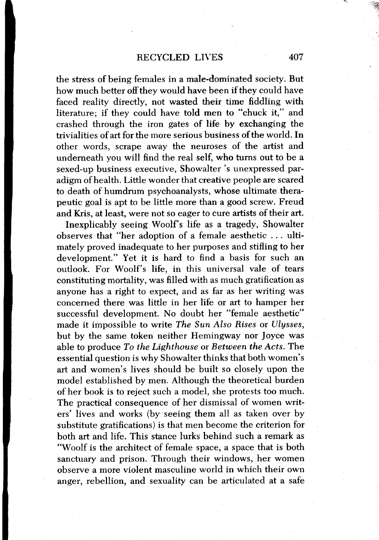the stress of being females in a male-dominated society. But how much better off they would have been if they could have faced reality directly, not wasted their time fiddling with literature; if they could have told men to "chuck it," and crashed through the iron gates of life by exchanging the trivialities of art for the more serious business of the world. In other words, scrape away the neuroses of the artist and underneath you will find the real self, who turns out to be a sexed-up business executive, Showalter's unexpressed paradigm of health. Little wonder that creative people are scared to death of humdrum psychoanalysts, whose ultimate therapeutic goal is apt to be little more than a good screw. Freud and Kris, at least, were not so eager to cure artists of their art.

Inexplicably seeing Woolf's life as a tragedy, Showalter observes that "her adoption of a female aesthetic . . . ultimately proved inadequate to her purposes and stifling to her development." Yet it is hard to find a basis for such an outlook. For Woolf's life, in this universal vale of tears constituting mortality, was filled with as much gratification as anyone has a right to expect, and as far as her writing was concerned there was little in her life or art to hamper her successful development. No doubt her "female aesthetic" made it impossible to write The Sun Also Rises or Ulgsses, but by the same token neither Hemingway nor Joyce was able to produce To the Lighthouse or Between the Acts. The essential question is why Showalter thinks that both women's art and women's lives should be built so closely upon the model established by men. Although the theoretical burden of her book is to reject such a model, she protests too much. The practical consequence of her dismissal of women writers' lives and works (by seeing them all as taken over by substitute gratifications) is that men become the criterion for both art and life. This stance lurks behind such a remark as "Woolf is the architect of female space, a space that is both sanctuary and prison. Through their windows, her women observe a more violent masculine world in which their own anger, rebellion, and sexuality can be articulated at a safe ii{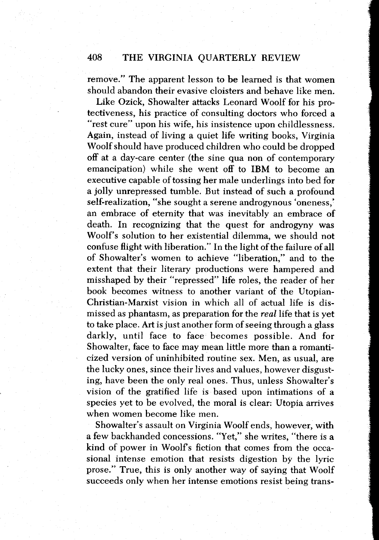remove." The apparent lesson to be learned is that women should abandon their evasive cloisters and behave like men.

Like Ozick, Showalter attacks Leonard Woolf for his protectiveness, his practice of consulting doctors who forced a "rest cure" upon his wife, his insistence upon childlessness. Again, instead of living a quiet life writing books, Virginia Woolf should have produced children who could be dropped off at a day-care center (the sine qua non of contemporary emancipation) while she went off to IBM to become an executive capable of tossing her male underlings into bed for a jolly unrepressed tumble. But instead of such a profound self-realization, "she sought a serene androgynous 'oneness,' an embrace of eternity that was inevitably an embrace of death. In recognizing that the quest for androgyny was Woolf's solution to her existential dilemma, we should not confuse flight with liberation." In the light of the failure of all of Showalter's women to achieve "liberation," and to the extent that their literary productions were hampered and misshaped by their "repressed" life roles, the reader of her book becomes witness to another variant of the Utopian-Christian-Marxist vision in which all of actual life is dismissed as phantasm, as preparation for the real life that is yet to take place. Art is just another form of seeing through a glass darkly, until face to face becomes possible. And for Showalter, face to face may mean little more than a romanticized version of uninhibited routine sex. Men, as usual, are the lucky ones, since their lives and values, however disgusting, have been the only real ones. Thus, unless Showalter's vision of the gratified life is based upon intimations of a species yet to be evolved, the moral is clear: Utopia arrives when women become like men.

Showalter's assault on Virginia Woolf ends, however, with a few backhanded concessions. "Yet," she writes, "there is a kind of power in Woolfs fiction that comes from the occasional intense emotion that resists digestion by the lyric prose." True, this is only another way of saying that Woolf succeeds only when her intense emotions resist being trans